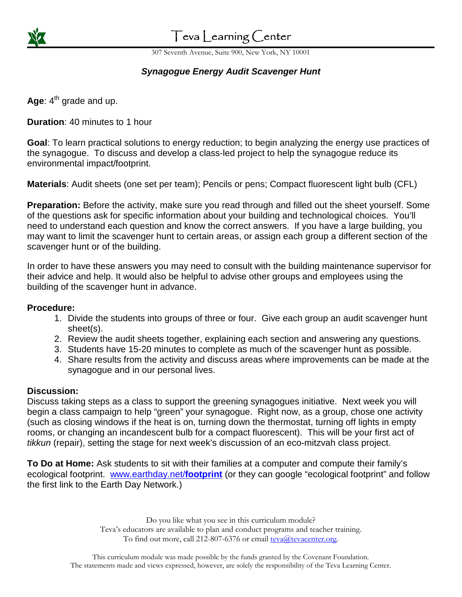

# Teva Learning Center

307 Seventh Avenue, Suite 900, New York, NY 10001

## **Synagogue Energy Audit Scavenger Hunt**

Age:  $4<sup>th</sup>$  grade and up.

**Duration**: 40 minutes to 1 hour

**Goal**: To learn practical solutions to energy reduction; to begin analyzing the energy use practices of the synagogue. To discuss and develop a class-led project to help the synagogue reduce its environmental impact/footprint.

**Materials**: Audit sheets (one set per team); Pencils or pens; Compact fluorescent light bulb (CFL)

**Preparation:** Before the activity, make sure you read through and filled out the sheet yourself. Some of the questions ask for specific information about your building and technological choices. You'll need to understand each question and know the correct answers. If you have a large building, you may want to limit the scavenger hunt to certain areas, or assign each group a different section of the scavenger hunt or of the building.

In order to have these answers you may need to consult with the building maintenance supervisor for their advice and help. It would also be helpful to advise other groups and employees using the building of the scavenger hunt in advance.

### **Procedure:**

- 1. Divide the students into groups of three or four. Give each group an audit scavenger hunt sheet(s).
- 2. Review the audit sheets together, explaining each section and answering any questions.
- 3. Students have 15-20 minutes to complete as much of the scavenger hunt as possible.
- 4. Share results from the activity and discuss areas where improvements can be made at the synagogue and in our personal lives.

### **Discussion:**

Discuss taking steps as a class to support the greening synagogues initiative. Next week you will begin a class campaign to help "green" your synagogue. Right now, as a group, chose one activity (such as closing windows if the heat is on, turning down the thermostat, turning off lights in empty rooms, or changing an incandescent bulb for a compact fluorescent). This will be your first act of tikkun (repair), setting the stage for next week's discussion of an eco-mitzvah class project.

**To Do at Home:** Ask students to sit with their families at a computer and compute their family's ecological footprint. www.earthday.net/**footprint** (or they can google "ecological footprint" and follow the first link to the Earth Day Network.)

> Do you like what you see in this curriculum module? Teva's educators are available to plan and conduct programs and teacher training. To find out more, call 212-807-6376 or email teva@tevacenter.org.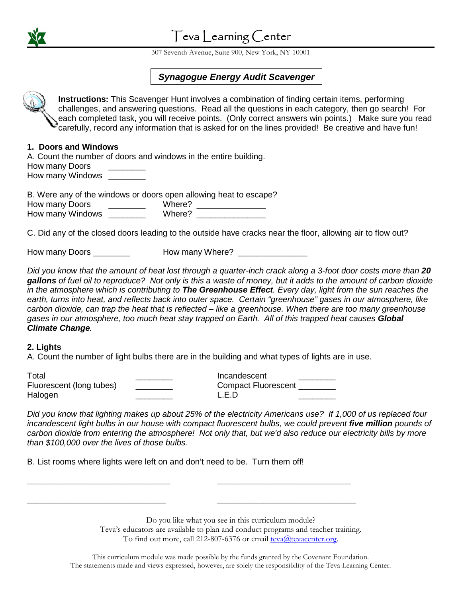

## Teva Learning Center

307 Seventh Avenue, Suite 900, New York, NY 10001

### **Synagogue Energy Audit Scavenger**

**Instructions:** This Scavenger Hunt involves a combination of finding certain items, performing challenges, and answering questions. Read all the questions in each category, then go search! For each completed task, you will receive points. (Only correct answers win points.) Make sure you read carefully, record any information that is asked for on the lines provided! Be creative and have fun!

#### **1. Doors and Windows**

A. Count the number of doors and windows in the entire building. How many Doors How many Windows **with the UV** 

B. Were any of the windows or doors open allowing heat to escape? How many Doors \_\_\_\_\_\_\_\_ Where? \_\_\_\_\_\_\_\_\_\_\_\_\_\_\_ How many Windows \_\_\_\_\_\_\_\_ Where? \_\_\_\_\_\_\_\_\_\_\_\_\_\_\_

C. Did any of the closed doors leading to the outside have cracks near the floor, allowing air to flow out?

How many Doors \_\_\_\_\_\_\_\_ How many Where? \_\_\_\_\_\_\_\_\_\_\_\_\_\_\_

Did you know that the amount of heat lost through a quarter-inch crack along a 3-foot door costs more than **20 gallons** of fuel oil to reproduce? Not only is this a waste of money, but it adds to the amount of carbon dioxide in the atmosphere which is contributing to **The Greenhouse Effect**. Every day, light from the sun reaches the earth, turns into heat, and reflects back into outer space. Certain "greenhouse" gases in our atmosphere, like carbon dioxide, can trap the heat that is reflected – like a greenhouse. When there are too many greenhouse gases in our atmosphere, too much heat stay trapped on Earth. All of this trapped heat causes **Global Climate Change**.

#### **2. Lights**

A. Count the number of light bulbs there are in the building and what types of lights are in use.

| Total                    | Incandescent               |
|--------------------------|----------------------------|
| Fluorescent (long tubes) | <b>Compact Fluorescent</b> |
| Halogen                  | L.E.D                      |

**\_\_\_\_\_\_\_\_\_\_\_\_\_\_\_\_\_\_\_\_\_\_\_\_\_\_\_\_\_\_\_ \_\_\_\_\_\_\_\_\_\_\_\_\_\_\_\_\_\_\_\_\_\_\_\_\_\_\_\_\_** 

**\_\_\_\_\_\_\_\_\_\_\_\_\_\_\_\_\_\_\_\_\_\_\_\_\_\_\_\_\_\_ \_\_\_\_\_\_\_\_\_\_\_\_\_\_\_\_\_\_\_\_\_\_\_\_\_\_\_\_\_\_** 

Did you know that lighting makes up about 25% of the electricity Americans use? If 1,000 of us replaced four incandescent light bulbs in our house with compact fluorescent bulbs, we could prevent **five million** pounds of carbon dioxide from entering the atmosphere! Not only that, but we'd also reduce our electricity bills by more than \$100,000 over the lives of those bulbs.

B. List rooms where lights were left on and don't need to be. Turn them off!

Do you like what you see in this curriculum module? Teva's educators are available to plan and conduct programs and teacher training.

To find out more, call 212-807-6376 or email teva@tevacenter.org.

This curriculum module was made possible by the funds granted by the Covenant Foundation. The statements made and views expressed, however, are solely the responsibility of the Teva Learning Center.